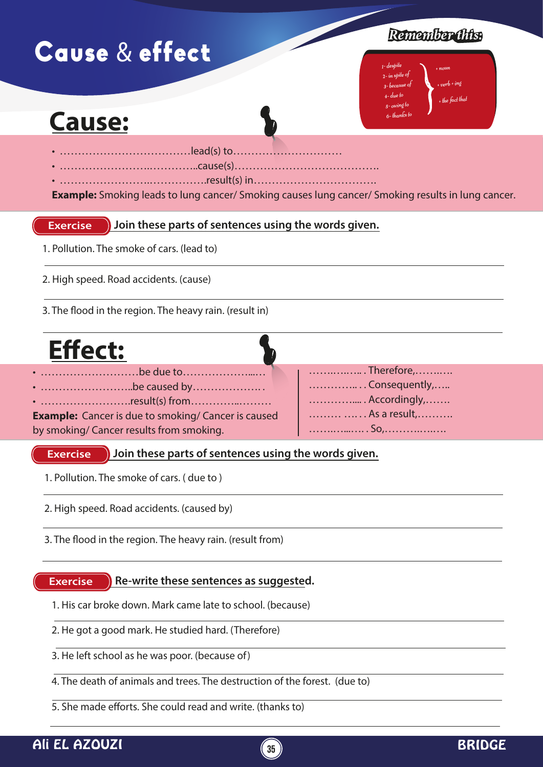# Cause & effect

### *Remember this:*

1- despite 2- in spite of 3- because of 4- due to 5- owing to 6- thanks to + noun

 $+$  verb + ing  $+$  the fact that

## **Cause:**

- ………………………………lead(s) to…………………………
- …………………….…………..cause(s)………………………………….
- …………………….…………….result(s) in…………………………….

**Example:** Smoking leads to lung cancer/ Smoking causes lung cancer/ Smoking results in lung cancer.

#### **Exercise Join these parts of sentences using the words given.**

- 1. Pollution. The smoke of cars. (lead to)
- 2. High speed. Road accidents. (cause)
- 3. The flood in the region. The heavy rain. (result in)

| <b>Effect:</b>                                             |               |
|------------------------------------------------------------|---------------|
|                                                            | Therefore,    |
| • be caused by                                             | Consequently, |
|                                                            | Accordingly,  |
| <b>Example:</b> Cancer is due to smoking/ Cancer is caused | As a result,  |
| by smoking/ Cancer results from smoking.                   |               |

#### **Exercise Join these parts of sentences using the words given.**

- 1. Pollution. The smoke of cars. ( due to )
- 2. High speed. Road accidents. (caused by)
- 3. The flood in the region. The heavy rain. (result from)

#### **Exercise Re-write these sentences as suggested.**

- 1. His car broke down. Mark came late to school. (because)
- 2. He got a good mark. He studied hard. (Therefore)
- 3. He left school as he was poor. (because of)
- 4. The death of animals and trees. The destruction of the forest. (due to)
- 5. She made efforts. She could read and write. (thanks to)